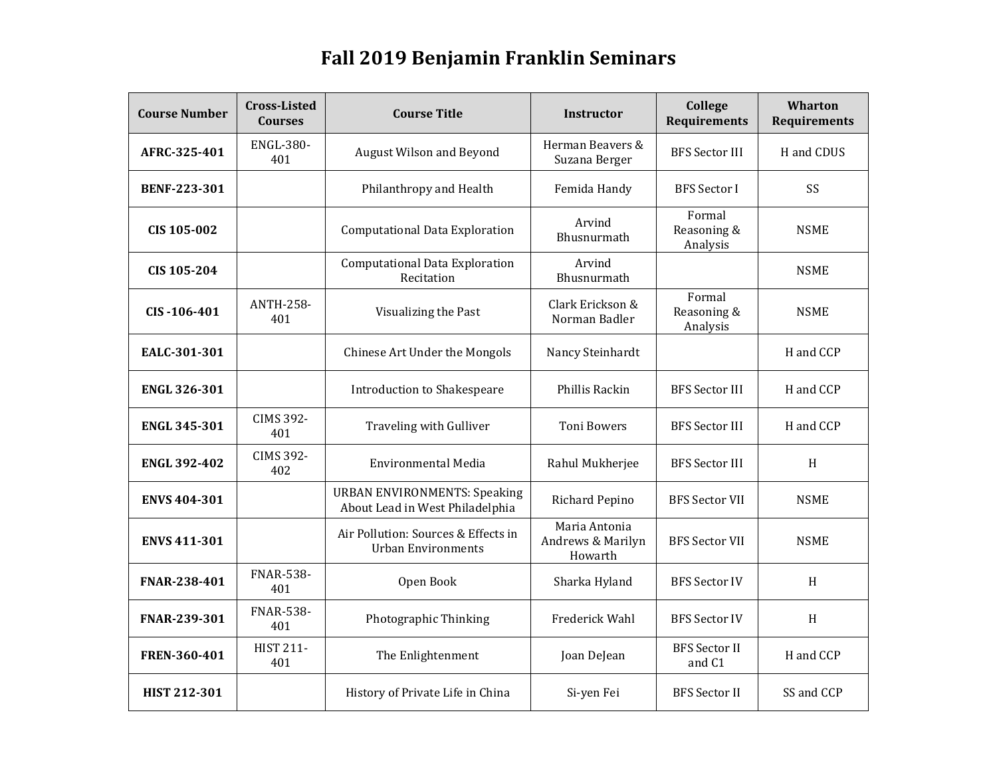## **Fall 2019 Benjamin Franklin Seminars**

| <b>Course Number</b> | <b>Cross-Listed</b><br><b>Courses</b> | <b>Course Title</b>                                                    | <b>Instructor</b>                             | College<br>Requirements           | <b>Wharton</b><br><b>Requirements</b> |
|----------------------|---------------------------------------|------------------------------------------------------------------------|-----------------------------------------------|-----------------------------------|---------------------------------------|
| AFRC-325-401         | <b>ENGL-380-</b><br>401               | August Wilson and Beyond                                               | Herman Beavers &<br>Suzana Berger             | <b>BFS Sector III</b>             | H and CDUS                            |
| <b>BENF-223-301</b>  |                                       | Philanthropy and Health                                                | Femida Handy                                  | <b>BFS</b> Sector I               | SS                                    |
| CIS 105-002          |                                       | <b>Computational Data Exploration</b>                                  | Arvind<br>Bhusnurmath                         | Formal<br>Reasoning &<br>Analysis | <b>NSME</b>                           |
| CIS 105-204          |                                       | <b>Computational Data Exploration</b><br>Recitation                    | Arvind<br>Bhusnurmath                         |                                   | <b>NSME</b>                           |
| CIS-106-401          | <b>ANTH-258-</b><br>401               | Visualizing the Past                                                   | Clark Erickson &<br>Norman Badler             | Formal<br>Reasoning &<br>Analysis | <b>NSME</b>                           |
| EALC-301-301         |                                       | Chinese Art Under the Mongols                                          | Nancy Steinhardt                              |                                   | H and CCP                             |
| <b>ENGL 326-301</b>  |                                       | <b>Introduction to Shakespeare</b>                                     | Phillis Rackin                                | <b>BFS Sector III</b>             | H and CCP                             |
| <b>ENGL 345-301</b>  | <b>CIMS 392-</b><br>401               | Traveling with Gulliver                                                | <b>Toni Bowers</b>                            | <b>BFS Sector III</b>             | H and CCP                             |
| <b>ENGL 392-402</b>  | <b>CIMS 392-</b><br>402               | <b>Environmental Media</b>                                             | Rahul Mukherjee                               | <b>BFS</b> Sector III             | $\,$ H                                |
| <b>ENVS 404-301</b>  |                                       | <b>URBAN ENVIRONMENTS: Speaking</b><br>About Lead in West Philadelphia | Richard Pepino                                | <b>BFS Sector VII</b>             | <b>NSME</b>                           |
| <b>ENVS 411-301</b>  |                                       | Air Pollution: Sources & Effects in<br><b>Urban Environments</b>       | Maria Antonia<br>Andrews & Marilyn<br>Howarth | <b>BFS Sector VII</b>             | <b>NSME</b>                           |
| FNAR-238-401         | <b>FNAR-538-</b><br>401               | Open Book                                                              | Sharka Hyland                                 | <b>BFS Sector IV</b>              | H                                     |
| FNAR-239-301         | <b>FNAR-538-</b><br>401               | Photographic Thinking                                                  | Frederick Wahl                                | <b>BFS Sector IV</b>              | H                                     |
| FREN-360-401         | <b>HIST 211-</b><br>401               | The Enlightenment                                                      | Joan DeJean                                   | <b>BFS</b> Sector II<br>and C1    | H and CCP                             |
| <b>HIST 212-301</b>  |                                       | History of Private Life in China                                       | Si-yen Fei                                    | <b>BFS Sector II</b>              | SS and CCP                            |